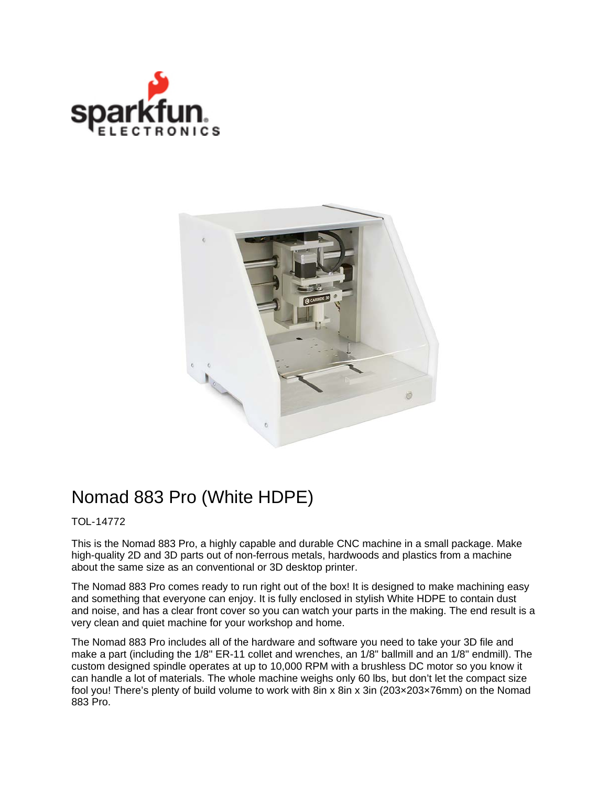



## Nomad 883 Pro (White HDPE)

## TOL-14772

This is the Nomad 883 Pro, a highly capable and durable CNC machine in a small package. Make high-quality 2D and 3D parts out of non-ferrous metals, hardwoods and plastics from a machine about the same size as an conventional or 3D desktop printer.

The Nomad 883 Pro comes ready to run right out of the box! It is designed to make machining easy and something that everyone can enjoy. It is fully enclosed in stylish White HDPE to contain dust and noise, and has a clear front cover so you can watch your parts in the making. The end result is a very clean and quiet machine for your workshop and home.

The Nomad 883 Pro includes all of the hardware and software you need to take your 3D file and make a part (including the 1/8" ER-11 collet and wrenches, an 1/8" ballmill and an 1/8" endmill). The custom designed spindle operates at up to 10,000 RPM with a brushless DC motor so you know it can handle a lot of materials. The whole machine weighs only 60 lbs, but don't let the compact size fool you! There's plenty of build volume to work with 8in x 8in x 3in (203×203×76mm) on the Nomad 883 Pro.